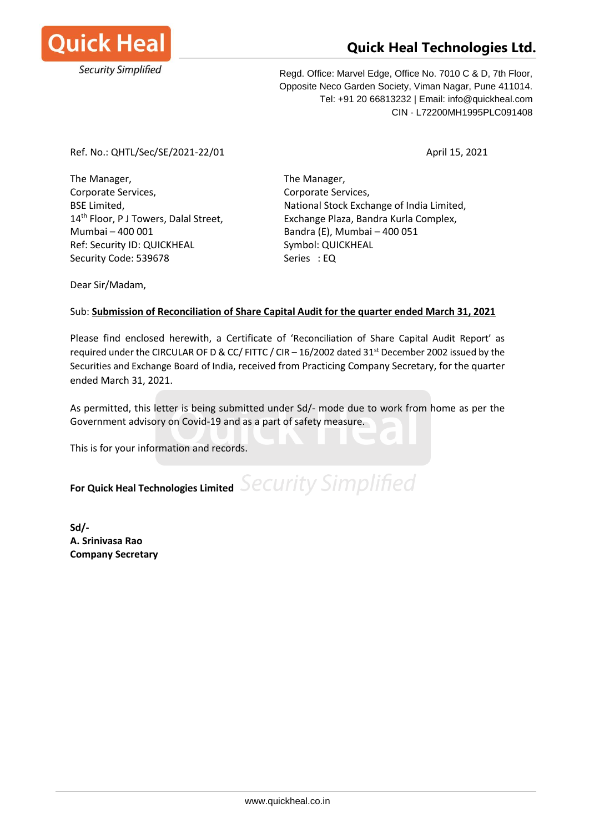

# **Quick Heal Technologies Ltd.**

Regd. Office: Marvel Edge, Office No. 7010 C & D, 7th Floor, Opposite Neco Garden Society, Viman Nagar, Pune 411014. Tel: +91 20 66813232 | Email: info@quickheal.com CIN - L72200MH1995PLC091408

### Ref. No.: QHTL/Sec/SE/2021-22/01 April 15, 2021

The Manager, The Manager, Corporate Services, Corporate Services, Mumbai – 400 001 Bandra (E), Mumbai – 400 051 Ref: Security ID: QUICKHEAL Symbol: QUICKHEAL Security Code: 539678 Series : EQ

BSE Limited, National Stock Exchange of India Limited, 14<sup>th</sup> Floor, P J Towers, Dalal Street, Exchange Plaza, Bandra Kurla Complex,

Dear Sir/Madam,

## Sub: **Submission of Reconciliation of Share Capital Audit for the quarter ended March 31, 2021**

Please find enclosed herewith, a Certificate of 'Reconciliation of Share Capital Audit Report' as required under the CIRCULAR OF D & CC/ FITTC / CIR - 16/2002 dated 31<sup>st</sup> December 2002 issued by the Securities and Exchange Board of India, received from Practicing Company Secretary, for the quarter ended March 31, 2021.

As permitted, this letter is being submitted under Sd/- mode due to work from home as per the Government advisory on Covid-19 and as a part of safety measure.

This is for your information and records.

For Quick Heal Technologies Limited Security Simplified

**Sd/- A. Srinivasa Rao Company Secretary**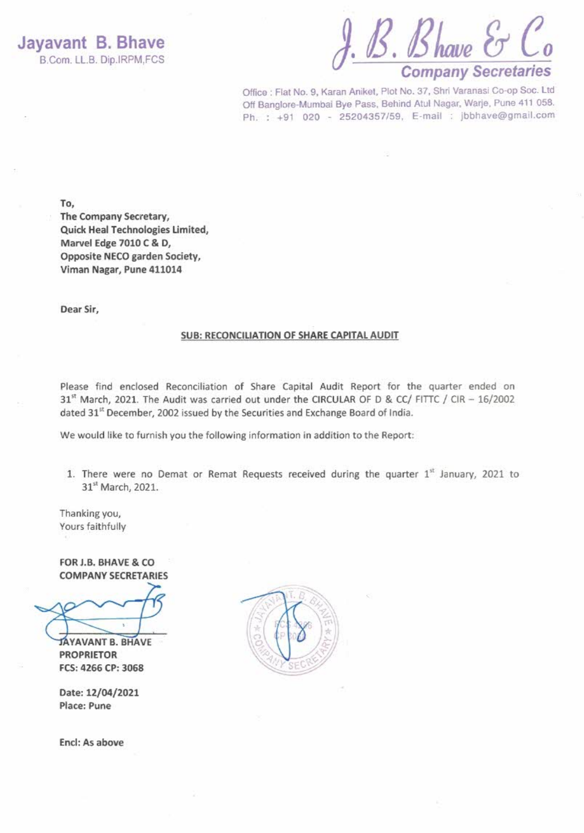Jayavant B. Bhave B.Com. LL.B. Dip.IRPM,FCS

J. B. Bhave E  $\mathcal C$ o **Company Secretaries** 

Office : Flat No. 9, Karan Aniket, Plot No. 37, Shri Varanasi Co-op Soc. Ltd Off Banglore-Mumbai Bye Pass, Behind Atul Nagar, Warje, Pune 411 058. Ph. : +91 020 - 25204357/59, E-mail : jbbhave@gmail.com

To,

The Company Secretary, Quick Heal Technologies Limited, Marvel Edge 7010 C & D, Opposite NECO garden Society, Viman Nagar, Pune 411014

Dear Sir,

#### SUB: RECONCILIATION OF SHARE CAPITAL AUDIT

Please find enclosed Reconciliation of Share Capital Audit Report for the quarter ended on 31st March, 2021. The Audit was carried out under the CIRCULAR OF D & CC/ FITTC / CIR - 16/2002 dated 31<sup>st</sup> December, 2002 issued by the Securities and Exchange Board of India.

We would like to furnish you the following information in addition to the Report:

1. There were no Demat or Remat Requests received during the quarter 1st January, 2021 to 31st March, 2021.

Thanking you, Yours faithfully

FOR J.B. BHAVE & CO **COMPANY SECRETARIES** 

JAYAVANT B. BHAVE **PROPRIETOR** FCS: 4266 CP: 3068

Date: 12/04/2021 Place: Pune

Encl: As above

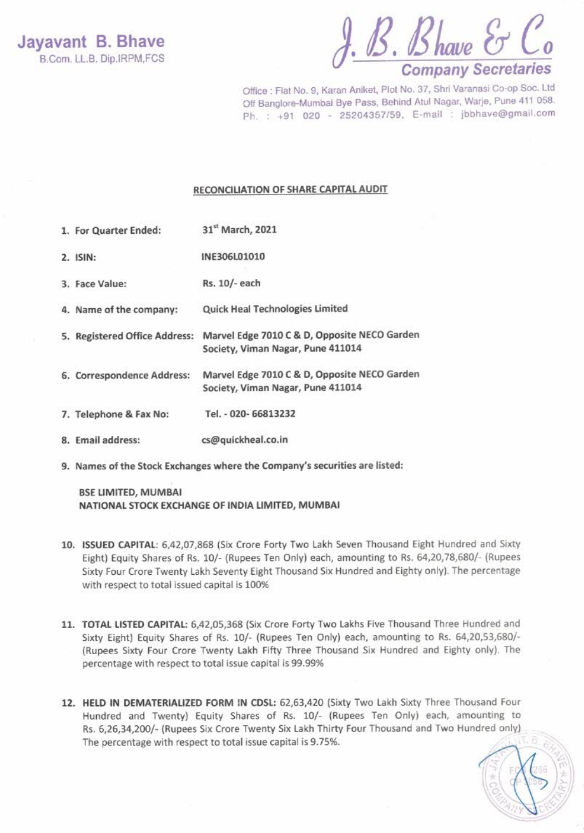$J. B. B$ have  $\mathcal{E}$   $\mathcal{C}_o$ <br>Company Secretaries

Office : Flat No. 9, Karan Aniket, Plot No. 37, Shri Varanasi Co-op Soc. Ltd Off Banglore-Mumbai Bye Pass, Behind Atul Nagar, Warje, Pune 411 058. Ph. : +91 020 - 25204357/59, E-mail : jbbhave@gmail.com

#### RECONCILIATION OF SHARE CAPITAL AUDIT

- 31st March, 2021 1. For Quarter Ended:
- $2.$  ISIN: INE306L01010
- 3. Face Value: Rs. 10/- each
- Quick Heal Technologies Limited 4. Name of the company:
- 5. Registered Office Address: Marvel Edge 7010 C & D, Opposite NECO Garden Society, Viman Nagar, Pune 411014
- Marvel Edge 7010 C & D, Opposite NECO Garden 6. Correspondence Address: Society, Viman Nagar, Pune 411014
- Tel. 020- 66813232 7. Telephone & Fax No:
- 8. Email address: cs@quickheal.co.in
- 9. Names of the Stock Exchanges where the Company's securities are listed:

**BSE LIMITED, MUMBAI** NATIONAL STOCK EXCHANGE OF INDIA LIMITED, MUMBAI

- 10. ISSUED CAPITAL: 6,42,07,868 (Six Crore Forty Two Lakh Seven Thousand Eight Hundred and Sixty Eight) Equity Shares of Rs. 10/- (Rupees Ten Only) each, amounting to Rs. 64,20,78,680/- (Rupees Sixty Four Crore Twenty Lakh Seventy Eight Thousand Six Hundred and Eighty only). The percentage with respect to total issued capital is 100%
- 11. TOTAL LISTED CAPITAL: 6,42,05,368 (Six Crore Forty Two Lakhs Five Thousand Three Hundred and Sixty Eight) Equity Shares of Rs. 10/- (Rupees Ten Only) each, amounting to Rs. 64,20,53,680/-(Rupees Sixty Four Crore Twenty Lakh Fifty Three Thousand Six Hundred and Eighty only). The percentage with respect to total issue capital is 99.99%
- 12. HELD IN DEMATERIALIZED FORM IN CDSL: 62,63,420 (Sixty Two Lakh Sixty Three Thousand Four Hundred and Twenty) Equity Shares of Rs. 10/- (Rupees Ten Only) each, amounting to Rs. 6,26,34,200/- (Rupees Six Crore Twenty Six Lakh Thirty Four Thousand and Two Hundred only) The percentage with respect to total issue capital is 9.75%.

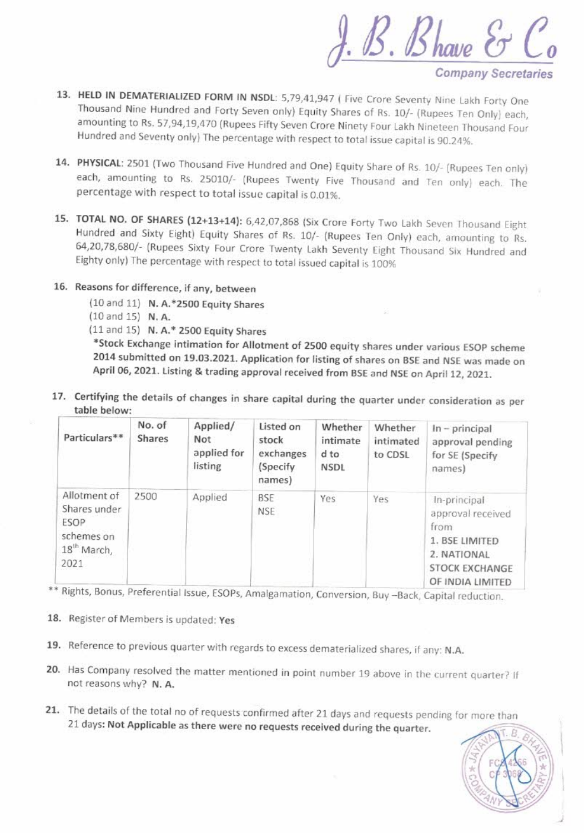f. B. Bhave E

**Company Secretaries** 

- 13. HELD IN DEMATERIALIZED FORM IN NSDL: 5,79,41,947 ( Five Crore Seventy Nine Lakh Forty One Thousand Nine Hundred and Forty Seven only) Equity Shares of Rs. 10/- (Rupees Ten Only) each, amounting to Rs. 57,94,19,470 (Rupees Fifty Seven Crore Ninety Four Lakh Nineteen Thousand Four Hundred and Seventy only) The percentage with respect to total issue capital is 90.24%.
- 14. PHYSICAL: 2501 (Two Thousand Five Hundred and One) Equity Share of Rs. 10/- (Rupees Ten only) each, amounting to Rs. 25010/- (Rupees Twenty Five Thousand and Ten only) each. The percentage with respect to total issue capital is 0.01%.
- 15. TOTAL NO. OF SHARES (12+13+14): 6,42,07,868 (Six Crore Forty Two Lakh Seven Thousand Eight Hundred and Sixty Eight) Equity Shares of Rs. 10/- (Rupees Ten Only) each, amounting to Rs. 64,20,78,680/- (Rupees Sixty Four Crore Twenty Lakh Seventy Eight Thousand Six Hundred and Eighty only) The percentage with respect to total issued capital is 100%
- 16. Reasons for difference, if any, between
	- (10 and 11) N. A.\*2500 Equity Shares
	- $(10 \text{ and } 15)$  N.A.
	- (11 and 15) N. A.\* 2500 Equity Shares

\*Stock Exchange intimation for Allotment of 2500 equity shares under various ESOP scheme 2014 submitted on 19.03.2021. Application for listing of shares on BSE and NSE was made on April 06, 2021. Listing & trading approval received from BSE and NSE on April 12, 2021.

17. Certifying the details of changes in share capital during the quarter under consideration as per table below:

| Particulars**                                                                         | No. of<br><b>Shares</b> | Applied/<br>Not<br>applied for<br>listing | Listed on<br>stock<br>exchanges<br>(Specify)<br>names) | Whether<br>intimate<br>$d$ to<br><b>NSDL</b> | Whether<br>intimated<br>to CDSL | $In$ – principal<br>approval pending<br>for SE (Specify<br>names)                                                |
|---------------------------------------------------------------------------------------|-------------------------|-------------------------------------------|--------------------------------------------------------|----------------------------------------------|---------------------------------|------------------------------------------------------------------------------------------------------------------|
| Allotment of<br>Shares under<br>ESOP<br>schemes on<br>18 <sup>th</sup> March,<br>2021 | 2500                    | Applied                                   | <b>BSE</b><br><b>NSE</b>                               | Yes                                          | Yes                             | In-principal<br>approval received<br>from<br>1. BSE LIMITED<br>2. NATIONAL<br>STOCK EXCHANGE<br>OF INDIA LIMITED |

\*\* Rights, Bonus, Preferential Issue, ESOPs, Amalgamation, Conversion, Buy -Back, Capital reduction.

- 18. Register of Members is updated: Yes
- 19. Reference to previous quarter with regards to excess dematerialized shares, if any: N.A.
- 20. Has Company resolved the matter mentioned in point number 19 above in the current quarter? If not reasons why? N. A.
- 21. The details of the total no of requests confirmed after 21 days and requests pending for more than 21 days: Not Applicable as there were no requests received during the quarter.